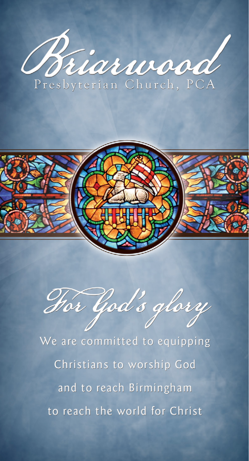



Hor God's glory

We are committed to equipping Christians to worship God and to reach Birmingham to reach the world for Christ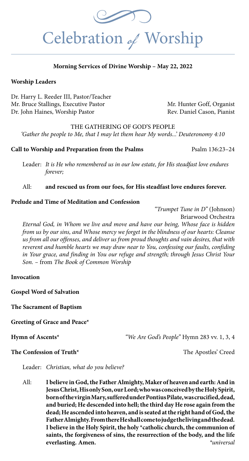

## **Morning Services of Divine Worship – May 22, 2022**

## **Worship Leaders**

Dr. Harry L. Reeder III, Pastor/Teacher Mr. Bruce Stallings, Executive Pastor Mr. Hunter Goff, Organist Dr. John Haines, Worship Pastor Rev. Daniel Cason, Pianist

THE GATHERING OF GOD'S PEOPLE

*'Gather the people to Me, that I may let them hear My words...' Deuteronomy 4:10*

#### **Call to Worship and Preparation from the Psalms** Psalm 136:23–24

Leader: *It is He who remembered us in our low estate, for His steadfast love endures forever;*

### All: **and rescued us from our foes, for His steadfast love endures forever.**

#### **Prelude and Time of Meditation and Confession**

*"Trumpet Tune in D"* (Johnson)

Briarwood Orchestra

*Eternal God, in Whom we live and move and have our being, Whose face is hidden from us by our sins, and Whose mercy we forget in the blindness of our hearts: Cleanse us from all our offenses, and deliver us from proud thoughts and vain desires, that with reverent and humble hearts we may draw near to You, confessing our faults, confiding in Your grace, and finding in You our refuge and strength; through Jesus Christ Your Son. –* from *The Book of Common Worship*

## **Invocation**

**Gospel Word of Salvation**

**The Sacrament of Baptism**

**Greeting of Grace and Peace\*** 

**Hymn of Ascents\*** *"We Are God's People"* Hymn 283 vv. 1, 3, 4

#### **The Confession of Truth\*** The Apostles' Creed

Leader: *Christian, what do you believe?* 

All: **I believe in God, the Father Almighty, Maker of heaven and earth: And in Jesus Christ, His only Son, our Lord; who was conceived by the Holy Spirit, born of the virgin Mary, suffered under Pontius Pilate, was crucified, dead, and buried; He descended into hell; the third day He rose again from the dead; He ascended into heaven, and is seated at the right hand of God, the Father Almighty. From there He shall come to judge the living and the dead. I believe in the Holy Spirit, the holy \*catholic church, the communion of saints, the forgiveness of sins, the resurrection of the body, and the life everlasting. Amen.** *\*universal*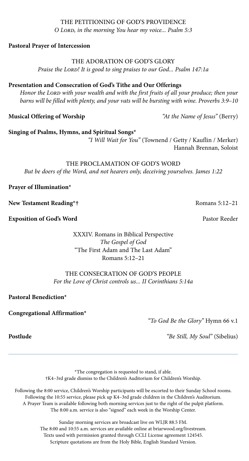# C LORD, in the morning You hear my voice... Psalm 5:3<br>Pastoral Prayer of Intercession THE PETITIONING OF GOD'S PROVIDENCE *O Lord, in the morning You hear my voice... Psalm 5:3*

**Pastoral Prayer of Intercession** 

THE ADORATION OF GOD'S GLORY

*Praise the Lord! It is good to sing praises to our God... Psalm 147:1a*

# **Presentation and Consecration of God's Tithe and Our Offerings**

*Honor the Lord with your wealth and with the first fruits of all your produce; then your barns will be filled with plenty, and your vats will be bursting with wine. Proverbs 3:9–10*

**Musical Offering of Worship** *"At the Name of Jesus"* (Berry)

**Singing of Psalms, Hymns, and Spiritual Songs\***

 *"I Will Wait for You"* (Townend / Getty / Kauflin / Merker) Hannah Brennan, Soloist

THE PROCLAMATION OF GOD'S WORD *But be doers of the Word, and not hearers only, deceiving yourselves. James 1:22*

**Prayer of Illumination\***

**New Testament Reading\*†** Romans 5:12–21

**Exposition of God's Word Pastor Reeder Pastor Reeder Pastor Reeder Pastor Reeder Pastor Reeder Pastor Reeder Pastor Reeder Pastor Reeder Pastor Reeder Pastor Reeder Pastor Reeder Pastor Reeder P** 

XXXIV. Romans in Biblical Perspective *The Gospel of God* "The First Adam and The Last Adam" Romans 5:12–21

THE CONSECRATION OF GOD'S PEOPLE *For the Love of Christ controls us... II Corinthians 5:14a*

**Pastoral Benediction\***

**Congregational Affirmation\***

*"To God Be the Glory"* Hymn 66 v.1

**Postlude** *"Be Still, My Soul"* (Sibelius)

\*The congregation is requested to stand, if able. †K4–3rd grade dismiss to the Children's Auditorium for Children's Worship.

Following the 8:00 service, Children's Worship participants will be escorted to their Sunday School rooms. Following the 10:55 service, please pick up K4–3rd grade children in the Children's Auditorium. A Prayer Team is available following both morning services just to the right of the pulpit platform. The 8:00 a.m. service is also "signed" each week in the Worship Center.

> Sunday morning services are broadcast live on WLJR 88.5 FM. The 8:00 and 10:55 a.m. services are available online at briarwood.org/livestream. Texts used with permission granted through CCLI License agreement 124545. Scripture quotations are from the Holy Bible, English Standard Version.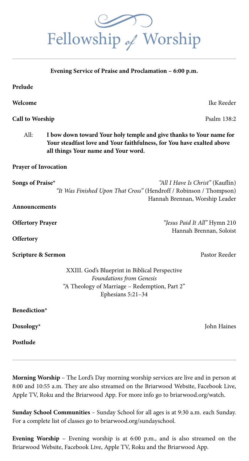**Welcome** Ike Reeder

**Call to Worship** Psalm 138:2

All: **I bow down toward Your holy temple and give thanks to Your name for Your steadfast love and Your faithfulness, for You have exalted above all things Your name and Your word.**

**Prayer of Invocation** 

**Songs of Praise\*** *"All I Have Is Christ"* (Kauflin) *"It Was Finished Upon That Cross"* (Hendroff / Robinson / Thompson) Hannah Brennan, Worship Leader

**Offertory Prayer** *"Jesus Paid It All"* Hymn 210 Hannah Brennan, Soloist

XXIII. God's Blueprint in Biblical Perspective *Foundations from Genesis* "A Theology of Marriage – Redemption, Part 2" Ephesians 5:21–34

**Benediction\*** 

**Postlude** 

**Morning Worship** – The Lord's Day morning worship services are live and in person at 8:00 and 10:55 a.m. They are also streamed on the Briarwood Website, Facebook Live, Apple TV, Roku and the Briarwood App. For more info go to briarwood.org/watch.

**Sunday School Communities** – Sunday School for all ages is at 9:30 a.m. each Sunday. For a complete list of classes go to briarwood.org/sundayschool.

**Evening Worship** – Evening worship is at 6:00 p.m., and is also streamed on the Briarwood Website, Facebook Live, Apple TV, Roku and the Briarwood App.



**Evening Service of Praise and Proclamation – 6:00 p.m.**

**Prelude**

**Announcements**

**Offertory** 

**Scripture & Sermon** *Pastor Reeder* Pastor Reeder

**Doxology\*** John Haines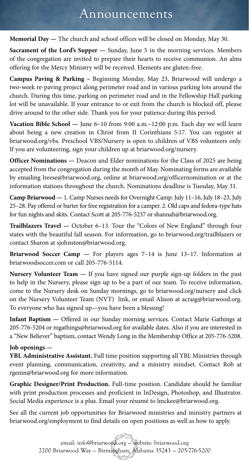# Announcements

**Memorial Day —** The church and school offices will be closed on Monday, May 30.

**Sacrament of the Lord's Supper —** Sunday, June 5 in the morning services. Members of the congregation are invited to prepare their hearts to receive communion. An alms offering for the Mercy Ministry will be received. Elements are gluten-free.

**Campus Paving & Parking –** Beginning Monday, May 23, Briarwood will undergo a two-week re-paving project along perimeter road and in various parking lots around the church. During this time, parking on perimeter road and in the Fellowship Hall parking lot will be unavailable. If your entrance to or exit from the church is blocked off, please drive around to the other side. Thank you for your patience during this period.

**Vacation Bible School —** June 6–10 from 9:00 a.m.–12:00 p.m. Each day we will learn about being a new creation in Christ from II Corinthians 5:17. You can register at briarwood.org/vbs. Preschool VBS/Nursery is open to children of VBS volunteers only. If you are volunteering, sign your children up at briarwood.org/nursery.

**Officer Nominations —** Deacon and Elder nominations for the Class of 2025 are being accepted from the congregation during the month of May. Nominating forms are available by emailing lreese@briarwood.org, online at briarwood.org/officernomination or at the information stations throughout the church. Nominations deadline is Tuesday, May 31.

**Camp Briarwood —** 1. Camp Nurses needs for Overnight Camp: July 11–16, July 18–23, July 25–28. Pay offered or barter for free registration for a camper. 2. Old caps and fedora-type hats for fun nights and skits. Contact Scott at 205-776-5237 or shannah@briarwood.org.

**Trailblazers Travel —** October 6–13. Tour the "Colors of New England" through four states with the beautiful fall season. For information, go to briarwood.org/trailblazers or contact Sharon at sjohnston@briarwood.org.

**Briarwood Soccer Camp —** For players ages 7–14 is June 13–17. Information at briarwoodsoccer.com or call 205-776-5114.

**Nursery Volunteer Team —** If you have signed our purple sign-up folders in the past to help in the Nursery, please sign up to be a part of our team. To receive information, come to the Nursery desk on Sunday mornings, go to briarwood.org/nursery and click on the Nursery Volunteer Team (NVT) link, or email Alison at acraig@briarwood.org. To everyone who has signed up—you have been a blessing!

**Infant Baptism —** Offered in our Sunday morning services. Contact Marie Gathings at 205-776-5204 or mgathings@briarwood.org for available dates. Also if you are interested in a "New Believer" baptism, contact Wendy Long in the Membership Office at 205-776-5208.

## **Job openings —**

**YBL Administrative Assistant.** Full time position supporting all YBL Ministries through event planning, communication, creativity, and a ministry mindset. Contact Rob at rgenin@briarwood.org for more information.

**Graphic Designer/Print Production.** Full-time position. Candidate should be familiar with print production processes and proficient in InDesign, Photoshop, and Illustrator. Social Media experience is a plus. Email your résumé to lmckee@briarwood.org.

See all the current job opportunities for Briarwood ministries and ministry partners at briarwood.org/employment to find details on open positions as well as how to apply.